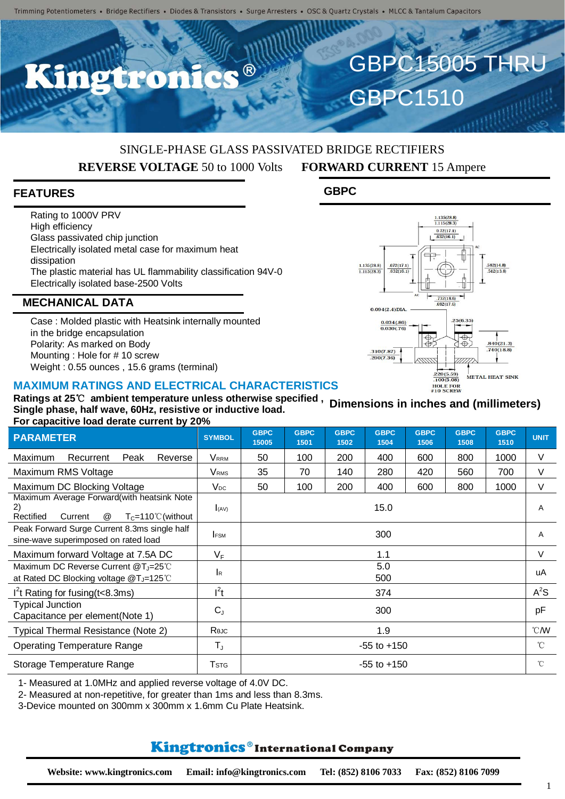$\bullet$   $\circledR$ 

# SINGLE-PHASE GLASS PASSIVATED BRIDGE RECTIFIERS **REVERSE VOLTAGE** 50 to 1000 Volts **FORWARD CURRENT** 15 Ampere

**GBPC**

 $\frac{1.135(28.8)}{1.115(28.3)}$ 

 $\frac{.672(17.1)}{.632(16.1)}$ 

 $0.094(2.4)$ DIA

310(7.87)  $.290(7.36)$ 

 $\frac{0.034(0.86)}{0.030(0.76)}$ 

GBPC15005 THRU

 $\frac{1.135(28.8)}{1.115(28.3)}$  $\frac{0.72(17.1)}{0.632(16.1)}$ 

 $\frac{732(18.6)}{692(17.6)}$ 

 $\frac{220(5.59)}{100(5.08)}$ 

HOLE FOR

25(6.35

€

 $\breve{\Phi}$ 

 $.582(14.8)$ <br> $.542(13.8)$ 

 $840(21.3)$ 

 $740(18.8)$ 

METAL HEAT SINK

**GBPC1510** 

### **FEATURES**

Rating to 1000V PRV High efficiency Glass passivated chip junction Electrically isolated metal case for maximum heat dissipation The plastic material has UL flammability classification 94V-0 Electrically isolated base-2500 Volts

#### **MECHANICAL DATA**

Case : Molded plastic with Heatsink internally mounted in the bridge encapsulation Polarity: As marked on Body Mounting : Hole for # 10 screw Weight : 0.55 ounces , 15.6 grams (terminal)

#### **MAXIMUM RATINGS AND ELECTRICAL CHARACTERISTICS**

**Ratings at 25**℃ **ambient temperature unless otherwise specified , Single phase, half wave, 60Hz, resistive or inductive load. For capacitive load derate current by 20% Dimensions in inches and (millimeters)**

| $\sim$ . Suppositive four genere sufficitive $\sim$ , $\sim$                                                |               |                      |                     |                     |                     |                     |                     |                     |                |
|-------------------------------------------------------------------------------------------------------------|---------------|----------------------|---------------------|---------------------|---------------------|---------------------|---------------------|---------------------|----------------|
| <b>PARAMETER</b>                                                                                            | <b>SYMBOL</b> | <b>GBPC</b><br>15005 | <b>GBPC</b><br>1501 | <b>GBPC</b><br>1502 | <b>GBPC</b><br>1504 | <b>GBPC</b><br>1506 | <b>GBPC</b><br>1508 | <b>GBPC</b><br>1510 | <b>UNIT</b>    |
| Maximum<br>Peak<br>Recurrent<br>Reverse                                                                     | VRRM          | 50                   | 100                 | 200                 | 400                 | 600                 | 800                 | 1000                | V              |
| Maximum RMS Voltage                                                                                         | Vrms          | 35                   | 70                  | 140                 | 280                 | 420                 | 560                 | 700                 | V              |
| Maximum DC Blocking Voltage                                                                                 | $V_{DC}$      | 50                   | 100                 | 200                 | 400                 | 600                 | 800                 | 1000                | V              |
| Maximum Average Forward(with heatsink Note<br>Rectified<br>$T_{C} = 110^{\circ}$ C (without<br>Current<br>@ | I(AV)         |                      |                     |                     | 15.0                |                     |                     |                     | A              |
| Peak Forward Surge Current 8.3ms single half<br>sine-wave superimposed on rated load                        | <b>FSM</b>    | 300                  |                     |                     |                     |                     |                     |                     | A              |
| Maximum forward Voltage at 7.5A DC                                                                          | $V_F$         | 1.1                  |                     |                     |                     |                     |                     |                     | $\vee$         |
| Maximum DC Reverse Current @T <sub>J</sub> =25°C<br>at Rated DC Blocking voltage @T <sub>J</sub> =125℃      | <b>I</b> R    | 5.0<br>500           |                     |                     |                     |                     |                     | uA                  |                |
| $I2$ t Rating for fusing (t<8.3ms)                                                                          | $I^2t$        | 374                  |                     |                     |                     |                     |                     |                     | $A^2S$         |
| <b>Typical Junction</b><br>Capacitance per element(Note 1)                                                  | $C_{J}$       | 300                  |                     |                     |                     |                     |                     |                     | pF             |
| Typical Thermal Resistance (Note 2)                                                                         | Rejc          | 1.9                  |                     |                     |                     |                     |                     |                     | $^{\circ}$ CMV |
| <b>Operating Temperature Range</b>                                                                          | $T_{J}$       | $-55$ to $+150$      |                     |                     |                     |                     |                     |                     | $^{\circ}$ C   |
| Storage Temperature Range                                                                                   | Tstg          | $-55$ to $+150$      |                     |                     |                     |                     |                     |                     | °C             |

1- Measured at 1.0MHz and applied reverse voltage of 4.0V DC.

2- Measured at non-repetitive, for greater than 1ms and less than 8.3ms.

3-Device mounted on 300mm x 300mm x 1.6mm Cu Plate Heatsink.

## **Kingtronics**®International Company

1